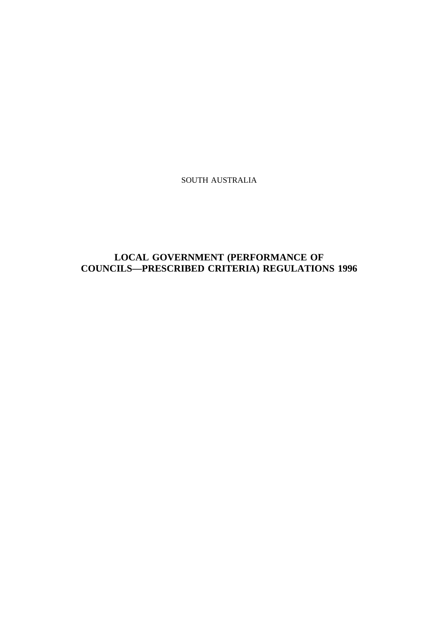SOUTH AUSTRALIA

# **LOCAL GOVERNMENT (PERFORMANCE OF COUNCILS—PRESCRIBED CRITERIA) REGULATIONS 1996**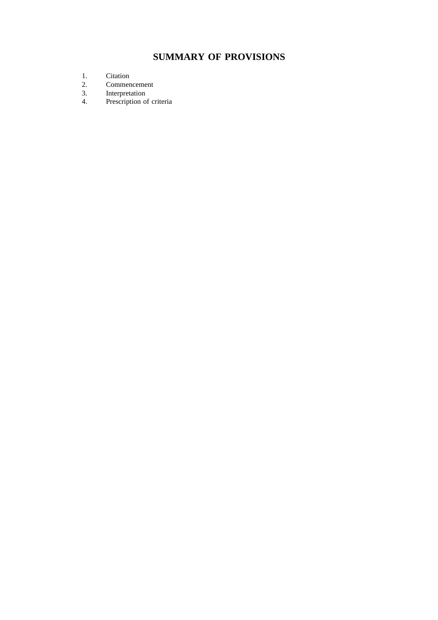# **SUMMARY OF PROVISIONS**

- 1. Citation<br>2. Commer
- 2. Commencement<br>3. Interpretation
- 3. Interpretation<br>4. Prescription of
- Prescription of criteria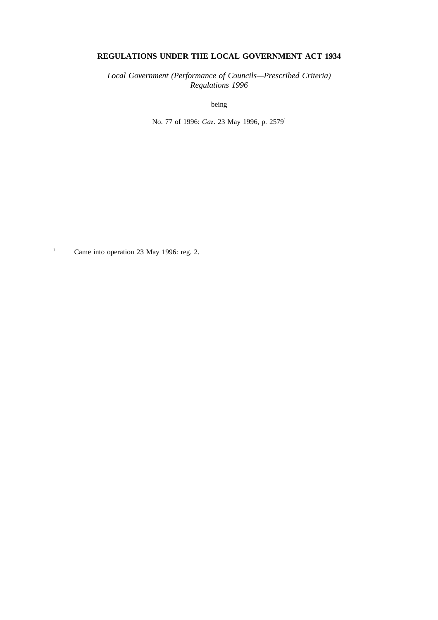### **REGULATIONS UNDER THE LOCAL GOVERNMENT ACT 1934**

*Local Government (Performance of Councils—Prescribed Criteria) Regulations 1996*

being

No. 77 of 1996: *Gaz*. 23 May 1996, p. 2579<sup>1</sup>

<sup>1</sup> Came into operation 23 May 1996: reg. 2.